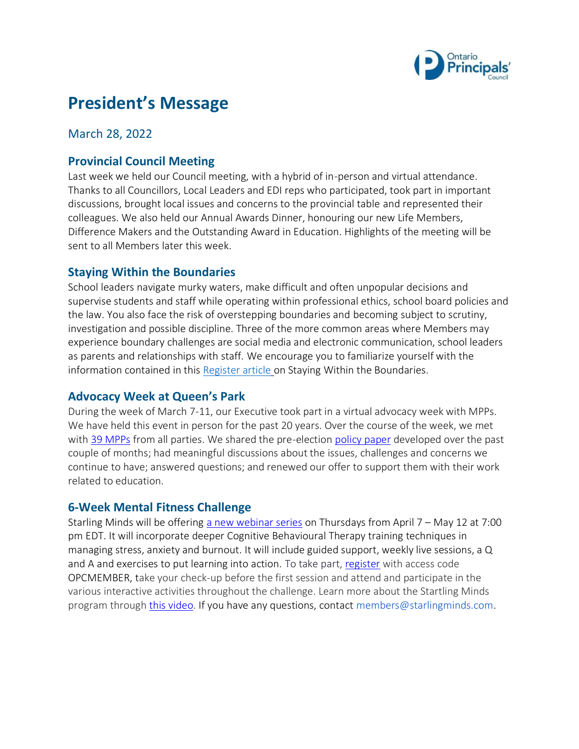

# **President's Message**

### March 28, 2022

### **Provincial Council Meeting**

Last week we held our Council meeting, with a hybrid of in-person and virtual attendance. Thanks to all Councillors, Local Leaders and EDI reps who participated, took part in important discussions, brought local issues and concerns to the provincial table and represented their colleagues. We also held our Annual Awards Dinner, honouring our new Life Members, Difference Makers and the Outstanding Award in Education. Highlights of the meeting will be sent to all Members later this week.

### **Staying Within the Boundaries**

School leaders navigate murky waters, make difficult and often unpopular decisions and supervise students and staff while operating within professional ethics, school board policies and the law. You also face the risk of overstepping boundaries and becoming subject to scrutiny, investigation and possible discipline. Three of the more common areas where Members may experience boundary challenges are social media and electronic communication, school leaders as parents and relationships with staff. We encourage you to familiarize yourself with the information contained in this [Register article](https://www.principals.ca/en/protective-services/resources/protected/2018-Fall-Staying-within-the-boundaries.pdf) on Staying Within the Boundaries.

### **Advocacy Week at Queen's Park**

During the week of March 7-11, our Executive took part in a virtual advocacy week with MPPs. We have held this event in person for the past 20 years. Over the course of the week, we met with [39 MPPs](https://www.principals.ca/en/who-we-are/principals-day.aspx) from all parties. We shared the pre-election [policy paper](https://www.principals.ca/en/who-we-are/resources/Documents/Principals-Day-Queens-Park/PrincipalsDay-IssueSheet.pdf) developed over the past couple of months; had meaningful discussions about the issues, challenges and concerns we continue to have; answered questions; and renewed our offer to support them with their work related to education.

### **6-Week Mental Fitness Challenge**

Starling Minds will be offering [a new webinar series](https://info.starlingminds.com/2022-6-week-mental-fitness-challenge-series-with-educators-opc) on Thursdays from April 7 – May 12 at 7:00 pm EDT. It will incorporate deeper Cognitive Behavioural Therapy training techniques in managing stress, anxiety and burnout. It will include guided support, weekly live sessions, a Q and A and exercises to put learning into action. To take part, [register](https://info.starlingminds.com/2022-6-week-mental-fitness-challenge-series-with-educators-opc) with access code OPCMEMBER, take your check-up before the first session and attend and participate in the various interactive activities throughout the challenge. Learn more about the Startling Minds program throug[h this video.](https://www.principals.ca/en/professional-learning/mental-health-fitness-program.aspx) If you have any questions, contact members@starlingminds.com.